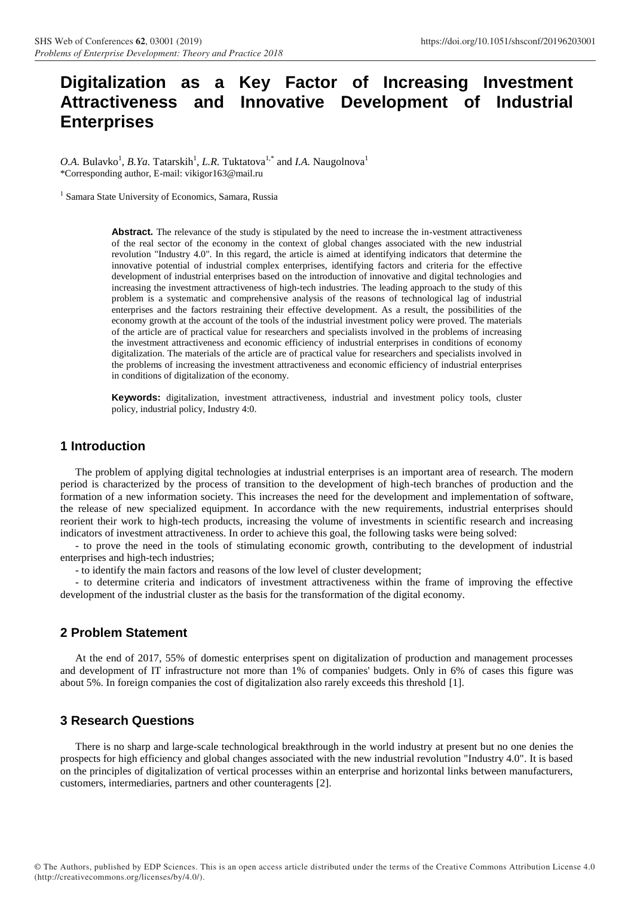# **Digitalization as a Key Factor of Increasing Investment Attractiveness and Innovative Development of Industrial Enterprises**

O.A. Bulavko<sup>1</sup>, *B.Ya.* Tatarskih<sup>1</sup>, *L.R.* Tuktatova<sup>1,\*</sup> and *I.A.* Naugolnova<sup>1</sup> \*Corresponding author, E-mail[: vikigor163@mail.ru](mailto:vikigor163@mail.ru)

<sup>1</sup> Samara State University of Economics, Samara, Russia

Abstract. The relevance of the study is stipulated by the need to increase the in-vestment attractiveness of the real sector of the economy in the context of global changes associated with the new industrial revolution "Industry 4.0". In this regard, the article is aimed at identifying indicators that determine the innovative potential of industrial complex enterprises, identifying factors and criteria for the effective development of industrial enterprises based on the introduction of innovative and digital technologies and increasing the investment attractiveness of high-tech industries. The leading approach to the study of this problem is a systematic and comprehensive analysis of the reasons of technological lag of industrial enterprises and the factors restraining their effective development. As a result, the possibilities of the economy growth at the account of the tools of the industrial investment policy were proved. The materials of the article are of practical value for researchers and specialists involved in the problems of increasing the investment attractiveness and economic efficiency of industrial enterprises in conditions of economy digitalization. The materials of the article are of practical value for researchers and specialists involved in the problems of increasing the investment attractiveness and economic efficiency of industrial enterprises in conditions of digitalization of the economy.

**Keywords:** digitalization, investment attractiveness, industrial and investment policy tools, cluster policy, industrial policy, Industry 4:0.

## **1 Introduction**

The problem of applying digital technologies at industrial enterprises is an important area of research. The modern period is characterized by the process of transition to the development of high-tech branches of production and the formation of a new information society. This increases the need for the development and implementation of software, the release of new specialized equipment. In accordance with the new requirements, industrial enterprises should reorient their work to high-tech products, increasing the volume of investments in scientific research and increasing indicators of investment attractiveness. In order to achieve this goal, the following tasks were being solved:

- to prove the need in the tools of stimulating economic growth, contributing to the development of industrial enterprises and high-tech industries;

- to identify the main factors and reasons of the low level of cluster development;

- to determine criteria and indicators of investment attractiveness within the frame of improving the effective development of the industrial cluster as the basis for the transformation of the digital economy.

## **2 Problem Statement**

At the end of 2017, 55% of domestic enterprises spent on digitalization of production and management processes and development of IT infrastructure not more than 1% of companies' budgets. Only in 6% of cases this figure was about 5%. In foreign companies the cost of digitalization also rarely exceeds this threshold [1].

## **3 Research Questions**

There is no sharp and large-scale technological breakthrough in the world industry at present but no one denies the prospects for high efficiency and global changes associated with the new industrial revolution "Industry 4.0". It is based on the principles of digitalization of vertical processes within an enterprise and horizontal links between manufacturers, customers, intermediaries, partners and other counteragents [2].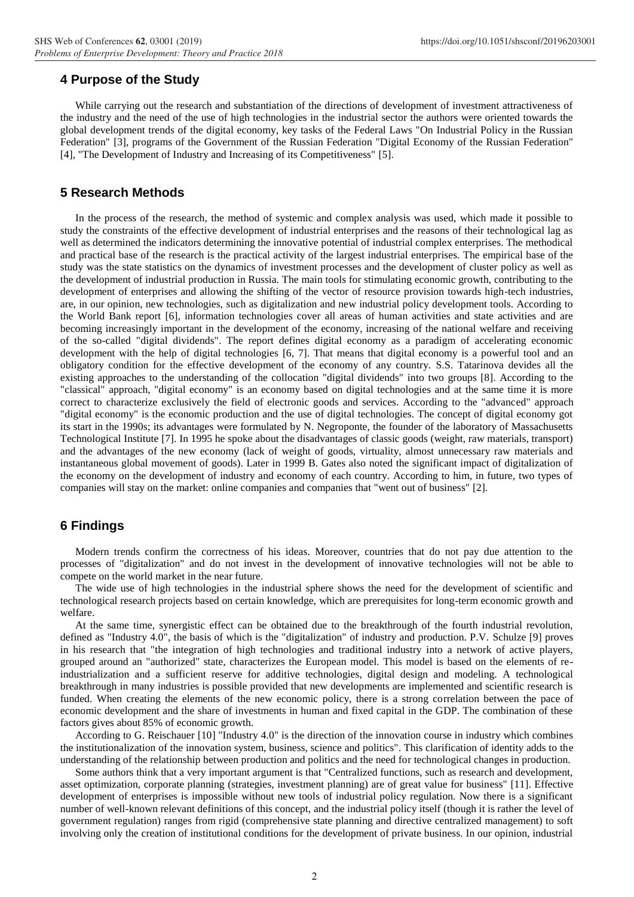### **4 Purpose of the Study**

While carrying out the research and substantiation of the directions of development of investment attractiveness of the industry and the need of the use of high technologies in the industrial sector the authors were oriented towards the global development trends of the digital economy, key tasks of the Federal Laws "On Industrial Policy in the Russian Federation" [3], programs of the Government of the Russian Federation "Digital Economy of the Russian Federation" [4], "The Development of Industry and Increasing of its Competitiveness" [5].

### **5 Research Methods**

In the process of the research, the method of systemic and complex analysis was used, which made it possible to study the constraints of the effective development of industrial enterprises and the reasons of their technological lag as well as determined the indicators determining the innovative potential of industrial complex enterprises. The methodical and practical base of the research is the practical activity of the largest industrial enterprises. The empirical base of the study was the state statistics on the dynamics of investment processes and the development of cluster policy as well as the development of industrial production in Russia. The main tools for stimulating economic growth, contributing to the development of enterprises and allowing the shifting of the vector of resource provision towards high-tech industries, are, in our opinion, new technologies, such as digitalization and new industrial policy development tools. According to the World Bank report [6], information technologies cover all areas of human activities and state activities and are becoming increasingly important in the development of the economy, increasing of the national welfare and receiving of the so-called "digital dividends". The report defines digital economy as a paradigm of accelerating economic development with the help of digital technologies [6, 7]. That means that digital economy is a powerful tool and an obligatory condition for the effective development of the economy of any country. S.S. Tatarinova devides all the existing approaches to the understanding of the collocation "digital dividends" into two groups [8]. According to the "classical" approach, "digital economy" is an economy based on digital technologies and at the same time it is more correct to characterize exclusively the field of electronic goods and services. According to the "advanced" approach "digital economy" is the economic production and the use of digital technologies. The concept of digital economy got its start in the 1990s; its advantages were formulated by N. Negroponte, the founder of the laboratory of Massachusetts Technological Institute [7]. In 1995 he spoke about the disadvantages of classic goods (weight, raw materials, transport) and the advantages of the new economy (lack of weight of goods, virtuality, almost unnecessary raw materials and instantaneous global movement of goods). Later in 1999 B. Gates also noted the significant impact of digitalization of the economy on the development of industry and economy of each country. According to him, in future, two types of companies will stay on the market: online companies and companies that "went out of business" [2].

#### **6 Findings**

Modern trends confirm the correctness of his ideas. Moreover, countries that do not pay due attention to the processes of "digitalization" and do not invest in the development of innovative technologies will not be able to compete on the world market in the near future.

The wide use of high technologies in the industrial sphere shows the need for the development of scientific and technological research projects based on certain knowledge, which are prerequisites for long-term economic growth and welfare.

At the same time, synergistic effect can be obtained due to the breakthrough of the fourth industrial revolution, defined as "Industry 4.0", the basis of which is the "digitalization" of industry and production. P.V. Schulze [9] proves in his research that "the integration of high technologies and traditional industry into a network of active players, grouped around an "authorized" state, characterizes the European model. This model is based on the elements of reindustrialization and a sufficient reserve for additive technologies, digital design and modeling. A technological breakthrough in many industries is possible provided that new developments are implemented and scientific research is funded. When creating the elements of the new economic policy, there is a strong correlation between the pace of economic development and the share of investments in human and fixed capital in the GDP. The combination of these factors gives about 85% of economic growth.

According to G. Reischauer [10] "Industry 4.0" is the direction of the innovation course in industry which combines the institutionalization of the innovation system, business, science and politics". This clarification of identity adds to the understanding of the relationship between production and politics and the need for technological changes in production.

Some authors think that a very important argument is that "Centralized functions, such as research and development, asset optimization, corporate planning (strategies, investment planning) are of great value for business" [11]. Effective development of enterprises is impossible without new tools of industrial policy regulation. Now there is a significant number of well-known relevant definitions of this concept, and the industrial policy itself (though it is rather the level of government regulation) ranges from rigid (comprehensive state planning and directive centralized management) to soft involving only the creation of institutional conditions for the development of private business. In our opinion, industrial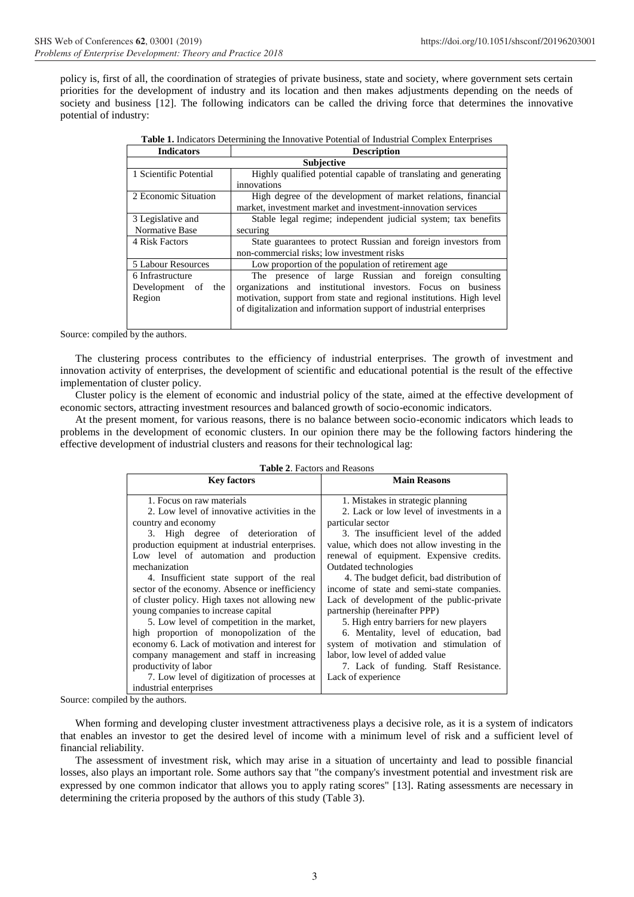policy is, first of all, the coordination of strategies of private business, state and society, where government sets certain priorities for the development of industry and its location and then makes adjustments depending on the needs of society and business [12]. The following indicators can be called the driving force that determines the innovative potential of industry:

| <b>Indicators</b>      | <b>Description</b>                                                   |  |  |
|------------------------|----------------------------------------------------------------------|--|--|
| <b>Subjective</b>      |                                                                      |  |  |
| 1 Scientific Potential | Highly qualified potential capable of translating and generating     |  |  |
|                        | innovations                                                          |  |  |
| 2 Economic Situation   | High degree of the development of market relations, financial        |  |  |
|                        | market, investment market and investment-innovation services         |  |  |
| 3 Legislative and      | Stable legal regime; independent judicial system; tax benefits       |  |  |
| Normative Base         | securing                                                             |  |  |
| 4 Risk Factors         | State guarantees to protect Russian and foreign investors from       |  |  |
|                        | non-commercial risks; low investment risks                           |  |  |
| 5 Labour Resources     | Low proportion of the population of retirement age                   |  |  |
| 6 Infrastructure       | The presence of large Russian and foreign consulting                 |  |  |
| Development of<br>the  | organizations and institutional investors. Focus on business         |  |  |
| Region                 | motivation, support from state and regional institutions. High level |  |  |
|                        | of digitalization and information support of industrial enterprises  |  |  |
|                        |                                                                      |  |  |

|  | <b>Table 1.</b> Indicators Determining the Innovative Potential of Industrial Complex Enterprises |  |
|--|---------------------------------------------------------------------------------------------------|--|
|--|---------------------------------------------------------------------------------------------------|--|

Source: compiled by the authors.

The clustering process contributes to the efficiency of industrial enterprises. The growth of investment and innovation activity of enterprises, the development of scientific and educational potential is the result of the effective implementation of cluster policy.

Cluster policy is the element of economic and industrial policy of the state, aimed at the effective development of economic sectors, attracting investment resources and balanced growth of socio-economic indicators.

At the present moment, for various reasons, there is no balance between socio-economic indicators which leads to problems in the development of economic clusters. In our opinion there may be the following factors hindering the effective development of industrial clusters and reasons for their technological lag:

|  |  | <b>Table 2.</b> Factors and Reasons |
|--|--|-------------------------------------|
|--|--|-------------------------------------|

| <b>Key factors</b>                              | <b>Main Reasons</b>                          |
|-------------------------------------------------|----------------------------------------------|
| 1. Focus on raw materials                       | 1. Mistakes in strategic planning            |
| 2. Low level of innovative activities in the    | 2. Lack or low level of investments in a     |
| country and economy                             | particular sector                            |
| 3. High degree of deterioration of              | 3. The insufficient level of the added       |
| production equipment at industrial enterprises. | value, which does not allow investing in the |
| Low level of automation and production          | renewal of equipment. Expensive credits.     |
| mechanization                                   | Outdated technologies                        |
| 4. Insufficient state support of the real       | 4. The budget deficit, bad distribution of   |
| sector of the economy. Absence or inefficiency  | income of state and semi-state companies.    |
| of cluster policy. High taxes not allowing new  | Lack of development of the public-private    |
| young companies to increase capital             | partnership (hereinafter PPP)                |
| 5. Low level of competition in the market,      | 5. High entry barriers for new players       |
| high proportion of monopolization of the        | 6. Mentality, level of education, bad        |
| economy 6. Lack of motivation and interest for  | system of motivation and stimulation of      |
| company management and staff in increasing      | labor, low level of added value              |
| productivity of labor                           | 7. Lack of funding. Staff Resistance.        |
| 7. Low level of digitization of processes at    | Lack of experience                           |
| industrial enterprises                          |                                              |

Source: compiled by the authors.

When forming and developing cluster investment attractiveness plays a decisive role, as it is a system of indicators that enables an investor to get the desired level of income with a minimum level of risk and a sufficient level of financial reliability.

The assessment of investment risk, which may arise in a situation of uncertainty and lead to possible financial losses, also plays an important role. Some authors say that "the company's investment potential and investment risk are expressed by one common indicator that allows you to apply rating scores" [13]. Rating assessments are necessary in determining the criteria proposed by the authors of this study (Table 3).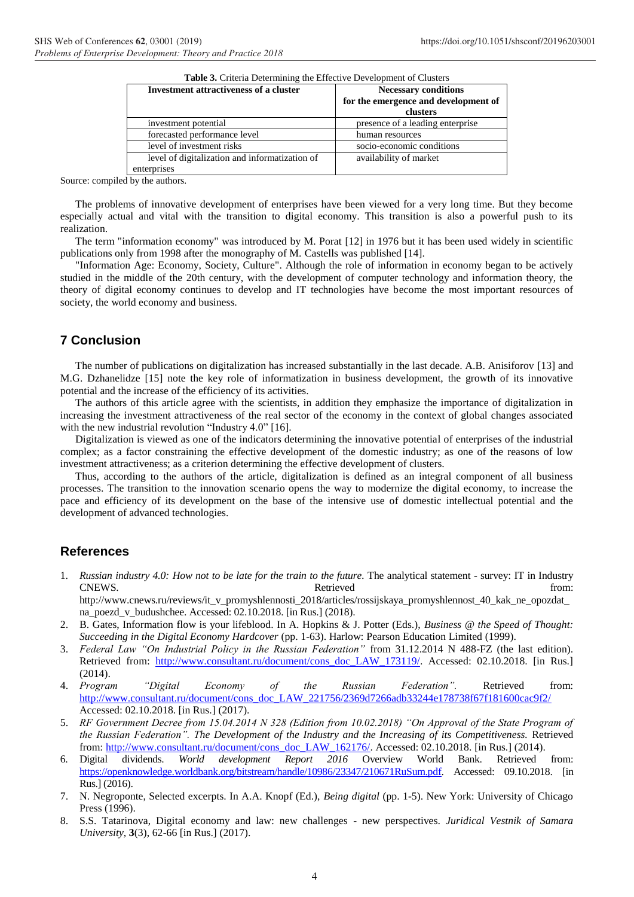| Table 3. Criteria Determining the Effective Development of Clusters |                                      |  |  |
|---------------------------------------------------------------------|--------------------------------------|--|--|
| Investment attractiveness of a cluster                              | <b>Necessary conditions</b>          |  |  |
|                                                                     | for the emergence and development of |  |  |
|                                                                     | clusters                             |  |  |
| investment potential                                                | presence of a leading enterprise     |  |  |
| forecasted performance level                                        | human resources                      |  |  |
| level of investment risks                                           | socio-economic conditions            |  |  |
| level of digitalization and informatization of                      | availability of market               |  |  |
| enterprises                                                         |                                      |  |  |

Source: compiled by the authors.

The problems of innovative development of enterprises have been viewed for a very long time. But they become especially actual and vital with the transition to digital economy. This transition is also a powerful push to its realization.

The term "information economy" was introduced by M. Porat [12] in 1976 but it has been used widely in scientific publications only from 1998 after the monography of M. Castells was published [14].

"Information Age: Economy, Society, Culture". Although the role of information in economy began to be actively studied in the middle of the 20th century, with the development of computer technology and information theory, the theory of digital economy continues to develop and IT technologies have become the most important resources of society, the world economy and business.

## **7 Conclusion**

The number of publications on digitalization has increased substantially in the last decade. A.B. Anisiforov [13] and M.G. Dzhanelidze [15] note the key role of informatization in business development, the growth of its innovative potential and the increase of the efficiency of its activities.

The authors of this article agree with the scientists, in addition they emphasize the importance of digitalization in increasing the investment attractiveness of the real sector of the economy in the context of global changes associated with the new industrial revolution "Industry 4.0" [16].

Digitalization is viewed as one of the indicators determining the innovative potential of enterprises of the industrial complex; as a factor constraining the effective development of the domestic industry; as one of the reasons of low investment attractiveness; as a criterion determining the effective development of clusters.

Thus, according to the authors of the article, digitalization is defined as an integral component of all business processes. The transition to the innovation scenario opens the way to modernize the digital economy, to increase the pace and efficiency of its development on the base of the intensive use of domestic intellectual potential and the development of advanced technologies.

## **References**

1. *Russian industry 4.0: How not to be late for the train to the future.* The analytical statement - survey: IT in Industry CNEWS. The contract of the contract of the contract of the contract of the contract of the contract of the contract of the contract of the contract of the contract of the contract of the contract of the contract of the con

[http://www.cnews.ru/reviews/it\\_v\\_promyshlennosti\\_2018/articles/rossijskaya\\_promyshlennost\\_40\\_kak\\_ne\\_opozdat\\_](http://www.cnews.ru/reviews/it_v_promyshlennosti_2018/articles/rossijskaya_promyshlennost_40_kak_ne_opozdat_na_poezd_v_budushchee) [na\\_poezd\\_v\\_budushchee.](http://www.cnews.ru/reviews/it_v_promyshlennosti_2018/articles/rossijskaya_promyshlennost_40_kak_ne_opozdat_na_poezd_v_budushchee) Accessed: 02.10.2018. [in Rus.] (2018).

- 2. B. Gates, Information flow is your lifeblood. In A. Hopkins & J. Potter (Eds.), *Business @ the Speed of Thought: Succeeding in the Digital Economy Hardcover* (pp. 1-63). Harlow: Pearson Education Limited (1999).
- 3. *Federal Law "On Industrial Policy in the Russian Federation"* from 31.12.2014 N 488-FZ (the last edition). Retrieved from: [http://www.consultant.ru/document/cons\\_doc\\_LAW\\_173119/.](http://www.consultant.ru/document/cons_doc_LAW_173119/) Accessed: 02.10.2018. [in Rus.] (2014).
- 4. *Program "Digital Economy of the Russian Federation".* Retrieved from: [http://www.consultant.ru/document/cons\\_doc\\_LAW\\_221756/2369d7266adb33244e178738f67f181600cac9f2/](http://www.consultant.ru/document/cons_doc_LAW_221756/2369d7266adb33244e178738f67f181600cac9f2/) Accessed: 02.10.2018. [in Rus.] (2017).
- 5. *RF Government Decree from 15.04.2014 N 328 (Edition from 10.02.2018) "On Approval of the State Program of the Russian Federation". The Development of the Industry and the Increasing of its Competitiveness.* Retrieved from: [http://www.consultant.ru/document/cons\\_doc\\_LAW\\_162176/.](http://www.consultant.ru/document/cons_doc_LAW_162176/) Accessed: 02.10.2018. [in Rus.] (2014).
- 6. Digital dividends. *World development Report 2016* Overview World Bank. Retrieved from: [https://openknowledge.worldbank.org/bitstream/handle/10986/23347/210671RuSum.pdf.](https://openknowledge.worldbank.org/bitstream/handle/10986/23347/210671RuSum.pdf) Accessed: 09.10.2018. [in Rus.] (2016).
- 7. N. Negroponte, Selected excerpts. In A.A. Knopf (Ed.), *Being digital* (pp. 1-5). New York: University of Chicago Press (1996).
- 8. S.S. Tatarinova, Digital economy and law: new challenges new perspectives. *Juridical Vestnik of Samara University*, **3**(3), 62-66 [in Rus.] (2017).